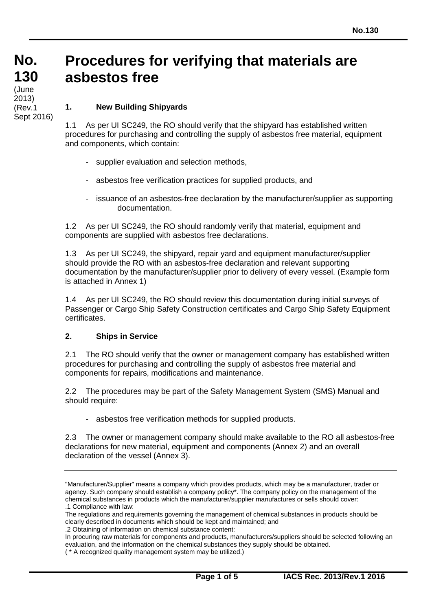### **No. No. 130 130** (ժառ<del>ե</del><br>2013) (June (Rev.1 Sept 2016)

# **Procedures for verifying that materials are asbestos free**

#### **1. New Building Shipyards**

1.1 As per UI SC249, the RO should verify that the shipyard has established written procedures for purchasing and controlling the supply of asbestos free material, equipment and components, which contain:

- supplier evaluation and selection methods,
- asbestos free verification practices for supplied products, and
- issuance of an asbestos-free declaration by the manufacturer/supplier as supporting documentation.

1.2 As per UI SC249, the RO should randomly verify that material, equipment and components are supplied with asbestos free declarations.

1.3 As per UI SC249, the shipyard, repair yard and equipment manufacturer/supplier should provide the RO with an asbestos-free declaration and relevant supporting documentation by the manufacturer/supplier prior to delivery of every vessel. (Example form is attached in Annex 1)

1.4 As per UI SC249, the RO should review this documentation during initial surveys of Passenger or Cargo Ship Safety Construction certificates and Cargo Ship Safety Equipment certificates.

#### **2. Ships in Service**

2.1 The RO should verify that the owner or management company has established written procedures for purchasing and controlling the supply of asbestos free material and components for repairs, modifications and maintenance.

2.2 The procedures may be part of the Safety Management System (SMS) Manual and should require:

- asbestos free verification methods for supplied products.

2.3 The owner or management company should make available to the RO all asbestos-free declarations for new material, equipment and components (Annex 2) and an overall declaration of the vessel (Annex 3).

<sup>&</sup>quot;Manufacturer/Supplier" means a company which provides products, which may be a manufacturer, trader or agency. Such company should establish a company policy\*. The company policy on the management of the chemical substances in products which the manufacturer/supplier manufactures or sells should cover: .1 Compliance with law:

The regulations and requirements governing the management of chemical substances in products should be clearly described in documents which should be kept and maintained; and

<sup>.2</sup> Obtaining of information on chemical substance content:

In procuring raw materials for components and products, manufacturers/suppliers should be selected following an evaluation, and the information on the chemical substances they supply should be obtained.

<sup>(</sup> \* A recognized quality management system may be utilized.)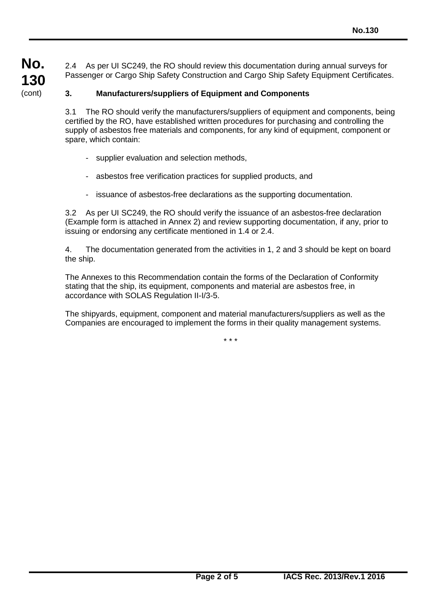**No. 130** (cont)

2.4 As per UI SC249, the RO should review this documentation during annual surveys for Passenger or Cargo Ship Safety Construction and Cargo Ship Safety Equipment Certificates.

#### **3. Manufacturers/suppliers of Equipment and Components**

3.1 The RO should verify the manufacturers/suppliers of equipment and components, being certified by the RO, have established written procedures for purchasing and controlling the supply of asbestos free materials and components, for any kind of equipment, component or spare, which contain:

- supplier evaluation and selection methods,
- asbestos free verification practices for supplied products, and
- issuance of asbestos-free declarations as the supporting documentation.

3.2 As per UI SC249, the RO should verify the issuance of an asbestos-free declaration (Example form is attached in Annex 2) and review supporting documentation, if any, prior to issuing or endorsing any certificate mentioned in 1.4 or 2.4.

4. The documentation generated from the activities in 1, 2 and 3 should be kept on board the ship.

The Annexes to this Recommendation contain the forms of the Declaration of Conformity stating that the ship, its equipment, components and material are asbestos free, in accordance with SOLAS Regulation II-I/3-5.

The shipyards, equipment, component and material manufacturers/suppliers as well as the Companies are encouraged to implement the forms in their quality management systems.

\* \* \*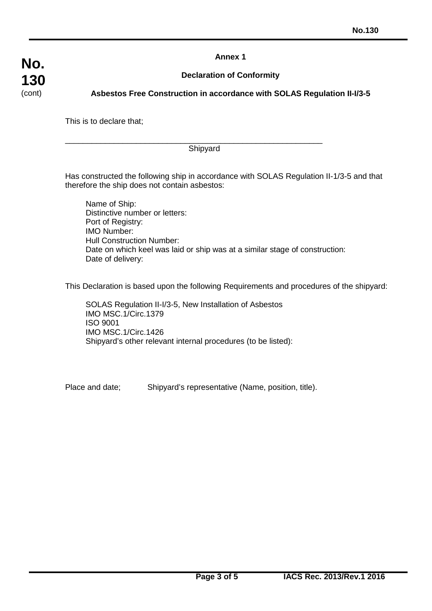**Annex 1**

#### **Declaration of Conformity**

#### **Asbestos Free Construction in accordance with SOLAS Regulation II-I/3-5**

This is to declare that;

\_\_\_\_\_\_\_\_\_\_\_\_\_\_\_\_\_\_\_\_\_\_\_\_\_\_\_\_\_\_\_\_\_\_\_\_\_\_\_\_\_\_\_\_\_\_\_\_\_\_\_\_\_\_\_\_\_\_ Shipyard

Has constructed the following ship in accordance with SOLAS Regulation II-1/3-5 and that therefore the ship does not contain asbestos:

Name of Ship: Distinctive number or letters: Port of Registry: IMO Number: Hull Construction Number: Date on which keel was laid or ship was at a similar stage of construction: Date of delivery:

This Declaration is based upon the following Requirements and procedures of the shipyard:

SOLAS Regulation II-I/3-5, New Installation of Asbestos IMO MSC.1/Circ.1379 ISO 9001 IMO MSC.1/Circ.1426 Shipyard's other relevant internal procedures (to be listed):

Place and date; Shipyard's representative (Name, position, title).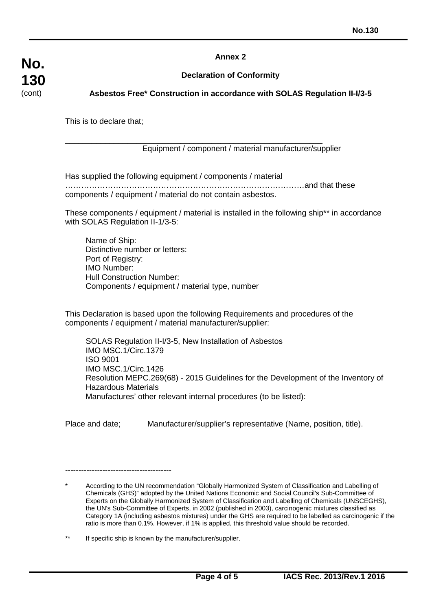#### **Annex 2**

#### **Declaration of Conformity**

#### **Asbestos Free\* Construction in accordance with SOLAS Regulation II-I/3-5**

This is to declare that;

#### \_\_\_\_\_\_\_\_\_\_\_\_\_\_\_\_\_\_\_\_\_\_\_\_\_\_\_\_\_\_\_\_\_\_\_\_\_\_\_\_\_\_\_\_\_\_\_\_\_\_\_\_\_\_\_\_\_\_ Equipment / component / material manufacturer/supplier

Has supplied the following equipment / components / material

………………………………………………………………………………and that these components / equipment / material do not contain asbestos.

These components / equipment / material is installed in the following ship\*\* in accordance with SOLAS Regulation II-1/3-5:

Name of Ship: Distinctive number or letters: Port of Registry: IMO Number: Hull Construction Number: Components / equipment / material type, number

This Declaration is based upon the following Requirements and procedures of the components / equipment / material manufacturer/supplier:

SOLAS Regulation II-I/3-5, New Installation of Asbestos IMO MSC.1/Circ.1379 ISO 9001 IMO MSC.1/Circ.1426 Resolution MEPC.269(68) - 2015 Guidelines for the Development of the Inventory of Hazardous Materials Manufactures' other relevant internal procedures (to be listed):

Place and date; Manufacturer/supplier's representative (Name, position, title).

----------------------------------------

According to the UN recommendation "Globally Harmonized System of Classification and Labelling of Chemicals (GHS)" adopted by the United Nations Economic and Social Council's Sub-Committee of Experts on the Globally Harmonized System of Classification and Labelling of Chemicals (UNSCEGHS), the UN's Sub-Committee of Experts, in 2002 (published in 2003), carcinogenic mixtures classified as Category 1A (including asbestos mixtures) under the GHS are required to be labelled as carcinogenic if the ratio is more than 0.1%. However, if 1% is applied, this threshold value should be recorded.

<sup>\*\*</sup> If specific ship is known by the manufacturer/supplier.